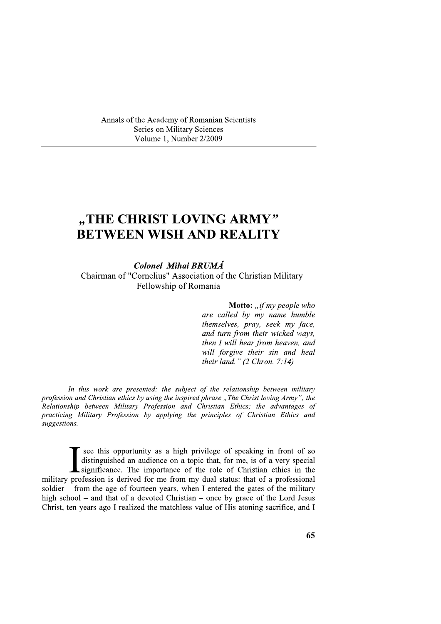Annals of the Academy of Romanian Scientists Series on Military Sciences Volume 1, Number 2/2009

Colonel Mihai BRUMA

Chairman of "Cornelius" Association of the Christian Military Fellowship of Romania

Annals of the Academy of Romanian Scientists<br>
Series on Military Sciences<br>
Volume 1, Number 22009<br>
<br> **WEEN WISH AND REALITY**<br> **EETWEEN WISH AND REALITY**<br>
Colonel Mihai BRUMA<br>
Chairman of "Cornelius" Association of the Chri L. **Motto:** "t my people who are called by  $my$  name humble  $themselves, pray, seek my face,$ and turn from their wicked ways, then I will hear from heaven, and will forgive their sin and heal their land."  $(2 Chron, 7:14)$ 

In this work are presented: the subject of the relationship between military profession and Christian ethics by using the inspired phrase "The Christ loving Army"; the  $R$ elationship between Military Profession and Christian Ethics; the advantages of practicing Military Profession by applying the principles of Christian Ethics and suggestions.

see this opportunity as a high privilege of speaking in front of so distinguished an audience on a topic that, for me, is of a very special significance. The importance of the role of Christian ethics in the military profession is derived for me from my dual status: that of a professional soldier – from the age of fourteen years, when I entered the gates of the military high school – and that of a devoted Christian – once by grace of the Lord Jesus Christ, ten years ago I realized the matchless value of His atoning sacrifice, and distinguished an audience on a topic that, for me, is of a very special<br>significance. The importance of the role of Christian ethics in the<br>profession is derived for me from my dual status: that of a professional<br>- from th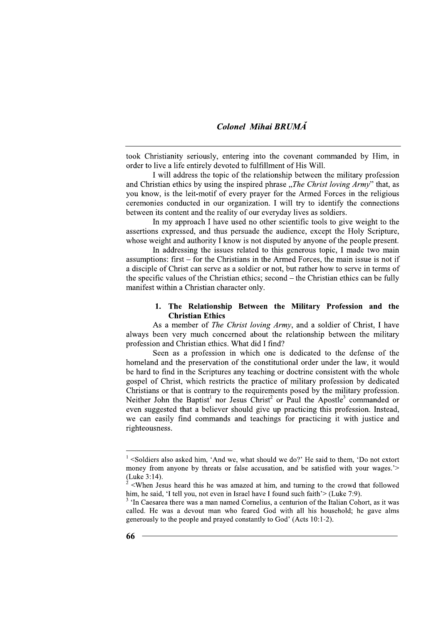took Christianity seriously, entering into the covenant commanded by Him, in order to live a life entirely devoted to fulfillment of His Will.

I will address the topic of the relationship between the military profession and Christian ethics by using the inspired phrase "The Christ loving Army" that, as you know, is the leit-motif of every prayer for the Armed Forces in the religious ceremonies conducted in our organization. I will try to identify the connections between its content and the reality of our everyday lives as soldiers.

In my approach I have used no other scientific tools to give weight to the assertions expressed, and thus persuade the audience, except the Holy Scripture, whose weight and authority I know is not disputed by anyone of the people present.

In addressing the issues related to this generous topic. I made two main assumptions: first – for the Christians in the Armed Forces, the main issue is not if a disciple of Christ can serve as a soldier or not, but rather how to serve in terms of the specific values of the Christian ethics; second – the Christian ethics can be fully manifest within a Christian character only.

## 1. The Relationship Between the Military Profession and the **Christian Ethics**

As a member of *The Christ loving Army*, and a soldier of Christ, I have always been very much concerned about the relationship between the military profession and Christian ethics. What did I find?

Seen as a profession in which one is dedicated to the defense of the homeland and the preservation of the constitutional order under the law, it would be hard to find in the Scriptures any teaching or doctrine consistent with the whole gospel of Christ, which restricts the practice of military profession by dedicated Christians or that is contrary to the requirements posed by the military profession. Neither John the Baptist<sup>1</sup> nor Jesus Christ<sup>2</sup> or Paul the Apostle<sup>3</sup> commanded or even suggested that a believer should give up practicing this profession. Instead, we can easily find commands and teachings for practicing it with justice and righteousness.

 $\frac{1}{1}$  <Soldiers also asked him, 'And we, what should we do?' He said to them, 'Do not extort money from anyone by threats or false accusation, and be satisfied with your wages.'> (Luke 3:14).

<sup>&</sup>lt;When Jesus heard this he was amazed at him, and turning to the crowd that followed him, he said. 'I tell you, not even in Israel have I found such faith'> (Luke 7:9).

<sup>&</sup>lt;sup>3</sup> 'In Caesarea there was a man named Cornelius, a centurion of the Italian Cohort, as it was called. He was a devout man who feared God with all his household; he gave alms generously to the people and prayed constantly to God' (Acts 10:1-2).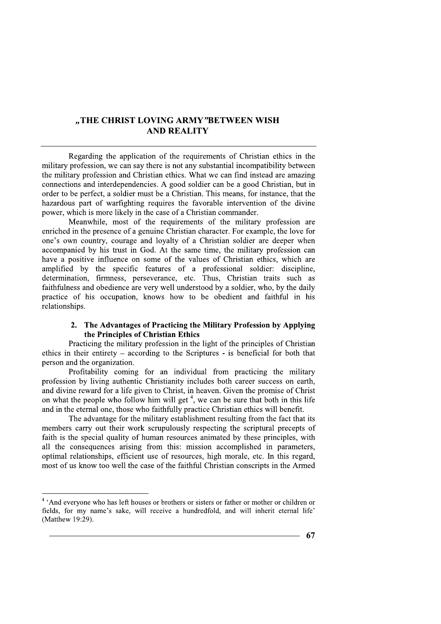# "THE CHRIST LOVING ARMY"BETWEEN WISH **AND REALITY**

Regarding the application of the requirements of Christian ethics in the military profession, we can say there is not any substantial incompatibility between the military profession and Christian ethics. What we can find instead are amazing connections and interdependencies. A good soldier can be a good Christian, but in order to be perfect, a soldier must be a Christian. This means, for instance, that the hazardous part of warfighting requires the favorable intervention of the divine power, which is more likely in the case of a Christian commander.

Meanwhile, most of the requirements of the military profession are enriched in the presence of a genuine Christian character. For example, the love for one's own country, courage and loyalty of a Christian soldier are deeper when accompanied by his trust in God. At the same time, the military profession can have a positive influence on some of the values of Christian ethics, which are amplified by the specific features of a professional soldier: discipline, determination, firmness, perseverance, etc. Thus, Christian traits such as faithfulness and obedience are very well understood by a soldier, who, by the daily practice of his occupation, knows how to be obedient and faithful in his relationships.

## 2. The Advantages of Practicing the Military Profession by Applying the Principles of Christian Ethics

Practicing the military profession in the light of the principles of Christian ethics in their entirety  $-$  according to the Scriptures - is beneficial for both that person and the organization.

Profitability coming for an individual from practicing the military profession by living authentic Christianity includes both career success on earth. and divine reward for a life given to Christ, in heaven. Given the promise of Christ on what the people who follow him will get  $4$ , we can be sure that both in this life and in the eternal one, those who faithfully practice Christian ethics will benefit.

The advantage for the military establishment resulting from the fact that its members carry out their work scrupulously respecting the scriptural precepts of faith is the special quality of human resources animated by these principles, with all the consequences arising from this: mission accomplished in parameters, optimal relationships, efficient use of resources, high morale, etc. In this regard, most of us know too well the case of the faithful Christian conscripts in the Armed

<sup>&</sup>lt;sup>4</sup> 'And everyone who has left houses or brothers or sisters or father or mother or children or fields, for my name's sake, will receive a hundredfold, and will inherit eternal life' (Matthew 19:29).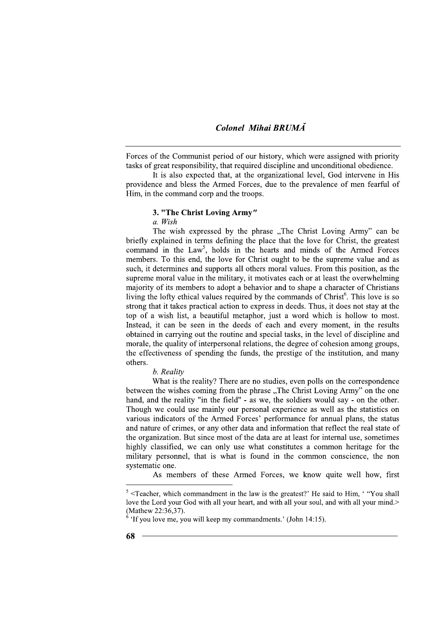Forces of the Communist period of our history, which were assigned with priority tasks of great responsibility, that required discipline and unconditional obedience.

It is also expected that, at the organizational level, God intervene in His providence and bless the Armed Forces, due to the prevalence of men fearful of Him, in the command corp and the troops.

## 3. "The Christ Loving Army"

a. Wish

The wish expressed by the phrase "The Christ Loving Army" can be briefly explained in terms defining the place that the love for Christ, the greatest command in the Law<sup>5</sup>, holds in the hearts and minds of the Armed Forces members. To this end, the love for Christ ought to be the supreme value and as such, it determines and supports all others moral values. From this position, as the supreme moral value in the military, it motivates each or at least the overwhelming majority of its members to adopt a behavior and to shape a character of Christians living the lofty ethical values required by the commands of Christ<sup>6</sup>. This love is so strong that it takes practical action to express in deeds. Thus, it does not stay at the top of a wish list, a beautiful metaphor, just a word which is hollow to most. Instead, it can be seen in the deeds of each and every moment, in the results obtained in carrying out the routine and special tasks, in the level of discipline and morale, the quality of interpersonal relations, the degree of cohesion among groups, the effectiveness of spending the funds, the prestige of the institution, and many others.

### b. Reality

What is the reality? There are no studies, even polls on the correspondence between the wishes coming from the phrase "The Christ Loving Army" on the one hand, and the reality "in the field" - as we, the soldiers would say - on the other. Though we could use mainly our personal experience as well as the statistics on various indicators of the Armed Forces' performance for annual plans, the status and nature of crimes, or any other data and information that reflect the real state of the organization. But since most of the data are at least for internal use, sometimes highly classified, we can only use what constitutes a common heritage for the military personnel, that is what is found in the common conscience, the non systematic one.

As members of these Armed Forces, we know quite well how, first

 $5$  <Teacher, which commandment in the law is the greatest?' He said to Him, "You shall love the Lord your God with all your heart, and with all your soul, and with all your mind.> (Mathew 22:36.37).

 $\delta$  'If you love me, you will keep my commandments.' (John 14:15).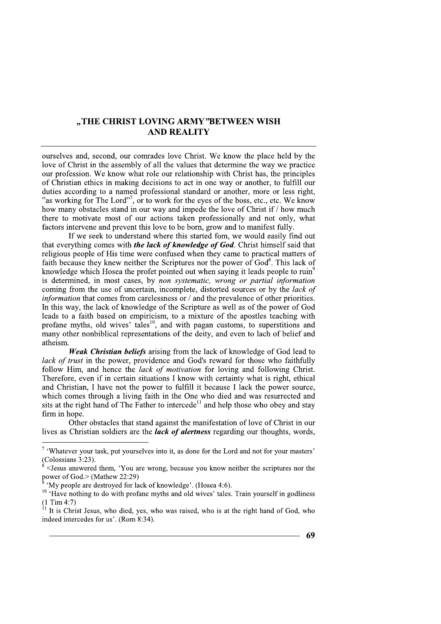# "THE CHRIST LOVING ARMY"BETWEEN WISH **AND REALITY**

ourselves and, second, our comrades love Christ. We know the place held by the love of Christ in the assembly of all the values that determine the way we practice our profession. We know what role our relationship with Christ has, the principles of Christian ethics in making decisions to act in one way or another, to fulfill our duties according to a named professional standard or another, more or less right, "as working for The Lord"<sup>7</sup>, or to work for the eyes of the boss, etc., etc. We know how many obstacles stand in our way and impede the love of Christ if / how much there to motivate most of our actions taken professionally and not only, what factors intervene and prevent this love to be born, grow and to manifest fully.

If we seek to understand where this started fom, we would easily find out that everything comes with *the lack of knowledge of God*. Christ himself said that religious people of His time were confused when they came to practical matters of faith because they knew neither the Scriptures nor the power of God<sup>8</sup>. This lack of knowledge which Hosea the profet pointed out when saying it leads people to ruin<sup>9</sup> is determined, in most cases, by non systematic, wrong or partial information coming from the use of uncertain, incomplete, distorted sources or by the lack of *information* that comes from carelessness or  $/$  and the prevalence of other priorities. In this way, the lack of knowledge of the Scripture as well as of the power of God leads to a faith based on empiricism, to a mixture of the apostles teaching with profane myths, old wives' tales<sup>10</sup>, and with pagan customs, to superstitions and many other nonbiblical representations of the deity, and even to lach of belief and atheism.

*Weak Christian beliefs* arising from the lack of knowledge of God lead to lack of trust in the power, providence and God's reward for those who faithfully follow Him, and hence the *lack of motivation* for loving and following Christ. Therefore, even if in certain situations I know with certainty what is right, ethical and Christian, I have not the power to fulfill it because I lack the power source. which comes through a living faith in the One who died and was resurrected and sits at the right hand of The Father to intercede<sup>11</sup> and help those who obey and stay firm in hope.

Other obstacles that stand against the manifestation of love of Christ in our lives as Christian soldiers are the *lack of alertness* regarding our thoughts, words,

<sup>&</sup>lt;sup>7</sup> 'Whatever your task, put yourselves into it, as done for the Lord and not for your masters' (Colossians 3:23).

<sup>&</sup>lt;Jesus answered them, 'You are wrong, because you know neither the scriptures nor the nower of  $\text{God.} > (\text{Mathew } 22:29)$ 

<sup>&#</sup>x27;My people are destroved for lack of knowledge'. (Hosea 4:6).

<sup>&</sup>lt;sup>10</sup> 'Have nothing to do with profane myths and old wives' tales. Train yourself in godliness  $(1$  Tim 4:7)

It is Christ Jesus, who died, yes, who was raised, who is at the right hand of God, who indeed intercedes for us'. (Rom 8:34).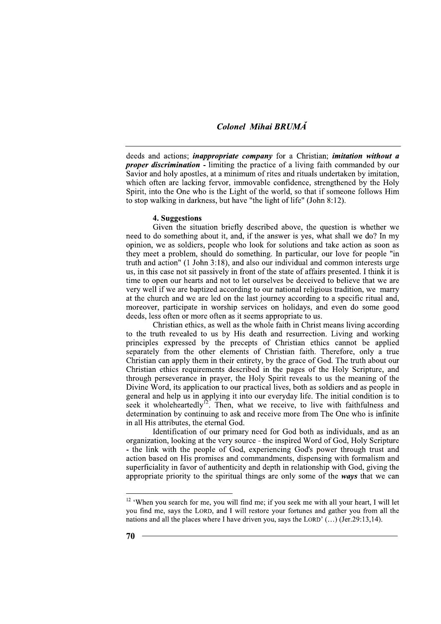deeds and actions; *inappropriate company* for a Christian; *imitation without a proper discrimination* - limiting the practice of a living faith commanded by our Savior and holy apostles, at a minimum of rites and rituals undertaken by imitation, which often are lacking fervor, immovable confidence, strengthened by the Holy Spirit, into the One who is the Light of the world, so that if someone follows Him to stop walking in darkness, but have "the light of life" (John 8:12).

## 4. Suggestions

Given the situation briefly described above, the question is whether we need to do something about it, and, if the answer is yes, what shall we do? In my opinion, we as soldiers, people who look for solutions and take action as soon as they meet a problem, should do something. In particular, our love for people "in truth and action" (1 John 3:18), and also our individual and common interests urge us, in this case not sit passively in front of the state of affairs presented. I think it is time to open our hearts and not to let ourselves be deceived to believe that we are very well if we are baptized according to our national religious tradition, we marry at the church and we are led on the last journey according to a specific ritual and, moreover, participate in worship services on holidays, and even do some good deeds, less often or more often as it seems appropriate to us.

Christian ethics, as well as the whole faith in Christ means living according to the truth revealed to us by His death and resurrection. Living and working principles expressed by the precepts of Christian ethics cannot be applied separately from the other elements of Christian faith. Therefore, only a true Christian can apply them in their entirety, by the grace of God. The truth about our Christian ethics requirements described in the pages of the Holy Scripture, and through perseverance in prayer, the Holy Spirit reveals to us the meaning of the Divine Word, its application to our practical lives, both as soldiers and as people in general and help us in applying it into our everyday life. The initial condition is to seek it wholeheartedly<sup>12</sup>. Then, what we receive, to live with faithfulness and determination by continuing to ask and receive more from The One who is infinite in all His attributes, the eternal God.

Identification of our primary need for God both as individuals, and as an organization, looking at the very source - the inspired Word of God, Holy Scripture - the link with the people of God, experiencing God's power through trust and action based on His promises and commandments, dispensing with formalism and superficiality in favor of authenticity and depth in relationship with God, giving the appropriate priority to the spiritual things are only some of the ways that we can

<sup>&</sup>lt;sup>12</sup> 'When you search for me, you will find me; if you seek me with all your heart, I will let you find me, says the LORD, and I will restore your fortunes and gather you from all the nations and all the places where I have driven you, says the LORD' (...) (Jer.29:13,14).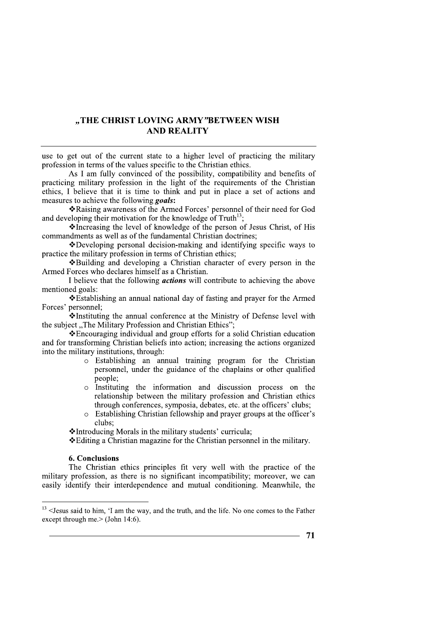# "THE CHRIST LOVING ARMY"BETWEEN WISH **AND REALITY**

use to get out of the current state to a higher level of practicing the military profession in terms of the values specific to the Christian ethics.

As I am fully convinced of the possibility, compatibility and benefits of practicing military profession in the light of the requirements of the Christian ethics. I believe that it is time to think and put in place a set of actions and measures to achieve the following goals:

\*Raising awareness of the Armed Forces' personnel of their need for God and developing their motivation for the knowledge of  $Truth^{13}$ .

\*Increasing the level of knowledge of the person of Jesus Christ, of His commandments as well as of the fundamental Christian doctrines;

\*Developing personal decision-making and identifying specific ways to practice the military profession in terms of Christian ethics;

❖ Building and developing a Christian character of every person in the Armed Forces who declares himself as a Christian.

I believe that the following *actions* will contribute to achieving the above mentioned goals:

❖ Establishing an annual national day of fasting and prayer for the Armed Forces' personnel:

\*Instituting the annual conference at the Ministry of Defense level with the subject "The Military Profession and Christian Ethics";

❖ Encouraging individual and group efforts for a solid Christian education and for transforming Christian beliefs into action; increasing the actions organized into the military institutions, through:

- o Establishing an annual training program for the Christian personnel, under the guidance of the chaplains or other qualified people:
- Instituting the information and discussion process on the  $\circ$ relationship between the military profession and Christian ethics through conferences, symposia, debates, etc. at the officers' clubs;
- Establishing Christian fellowship and prayer groups at the officer's  $\circ$ clubs:

\*Introducing Morals in the military students' curricula;

❖ Editing a Christian magazine for the Christian personnel in the military.

## **6. Conclusions**

The Christian ethics principles fit very well with the practice of the military profession, as there is no significant incompatibility; moreover, we can easily identify their interdependence and mutual conditioning. Meanwhile, the

 $13$  < Jesus said to him, 'I am the way, and the truth, and the life. No one comes to the Father except through me. $>$  (John 14:6).